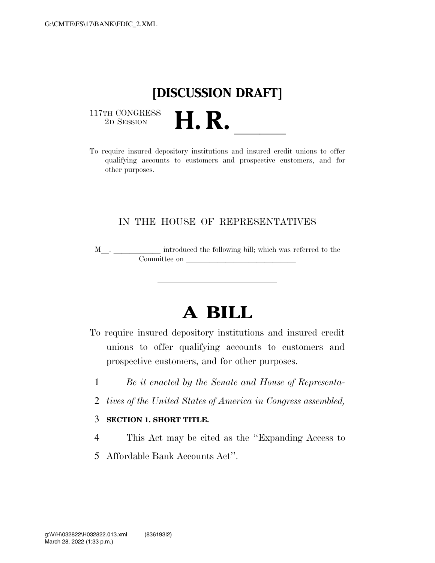## **[DISCUSSION DRAFT]**

 $\begin{array}{c} \text{117TH CONGRESS} \\ \text{2D SESION} \end{array}$ 

117TH CONGRESS<br>
2D SESSION<br>
To require insured depository institutions and insured credit unions to offer qualifying accounts to customers and prospective customers, and for other purposes.

### IN THE HOUSE OF REPRESENTATIVES

M<sub>\_\_\_</sub>. \_\_\_\_\_\_\_\_\_\_\_\_\_ introduced the following bill; which was referred to the  $\mathop{\mathrm{Commititee}}$  on  $\qquad \qquad \qquad \qquad$ 

# **A BILL**

- To require insured depository institutions and insured credit unions to offer qualifying accounts to customers and prospective customers, and for other purposes.
	- 1 *Be it enacted by the Senate and House of Representa-*
	- 2 *tives of the United States of America in Congress assembled,*
	- 3 **SECTION 1. SHORT TITLE.**
	- 4 This Act may be cited as the ''Expanding Access to
	- 5 Affordable Bank Accounts Act''.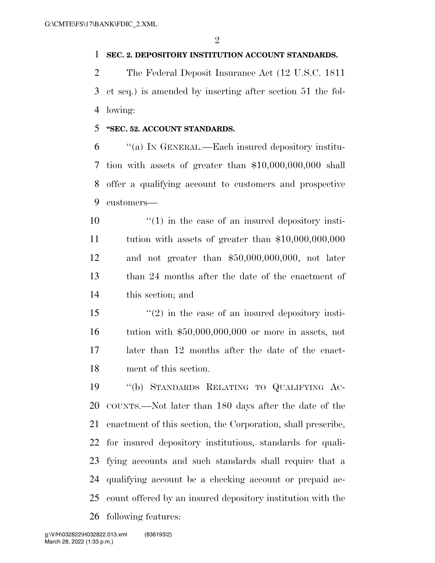#### **SEC. 2. DEPOSITORY INSTITUTION ACCOUNT STANDARDS.**

 The Federal Deposit Insurance Act (12 U.S.C. 1811 et seq.) is amended by inserting after section 51 the fol-lowing:

#### **''SEC. 52. ACCOUNT STANDARDS.**

 ''(a) IN GENERAL.—Each insured depository institu- tion with assets of greater than \$10,000,000,000 shall offer a qualifying account to customers and prospective customers—

- $\mathbf{10}$  ''(1) in the case of an insured depository insti- tution with assets of greater than \$10,000,000,000 and not greater than \$50,000,000,000, not later than 24 months after the date of the enactment of this section; and
- $\frac{15}{2}$  ''(2) in the case of an insured depository insti- tution with \$50,000,000,000 or more in assets, not later than 12 months after the date of the enact-ment of this section.

 ''(b) STANDARDS RELATING TO QUALIFYING AC- COUNTS.—Not later than 180 days after the date of the enactment of this section, the Corporation, shall prescribe, for insured depository institutions, standards for quali- fying accounts and such standards shall require that a qualifying account be a checking account or prepaid ac- count offered by an insured depository institution with the following features: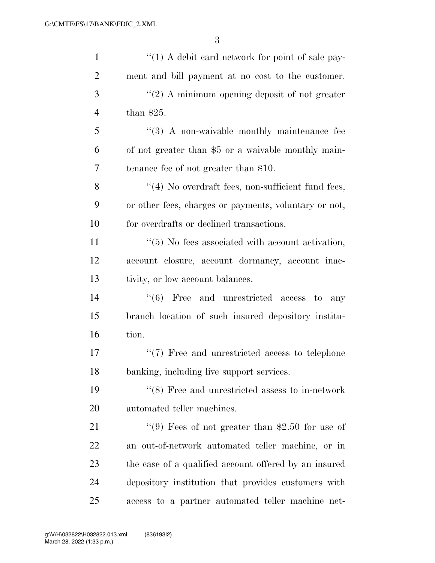| $\mathbf{1}$   | $\lq(1)$ A debit card network for point of sale pay-    |
|----------------|---------------------------------------------------------|
| $\overline{2}$ | ment and bill payment at no cost to the customer.       |
| 3              | $"(2)$ A minimum opening deposit of not greater         |
| $\overline{4}$ | than $$25.$                                             |
| 5              | $\lq(3)$ A non-waivable monthly maintenance fee         |
| 6              | of not greater than \$5 or a waivable monthly main-     |
| 7              | tenance fee of not greater than \$10.                   |
| 8              | "(4) No overdraft fees, non-sufficient fund fees,       |
| 9              | or other fees, charges or payments, voluntary or not,   |
| 10             | for overdrafts or declined transactions.                |
| 11             | $\lq(5)$ No fees associated with account activation,    |
| 12             | account closure, account dormancy, account inac-        |
| 13             | tivity, or low account balances.                        |
| 14             | (6)<br>Free and unrestricted access to<br>any           |
| 15             | branch location of such insured depository institu-     |
| 16             | tion.                                                   |
| 17             | $\lq(7)$ Free and unrestricted access to telephone      |
| 18             | banking, including live support services.               |
| 19             | $\lq\lq (8)$ Free and unrestricted assess to in-network |
| 20             | automated teller machines.                              |
| 21             | "(9) Fees of not greater than \$2.50 for use of         |
| 22             | an out-of-network automated teller machine, or in       |
| 23             | the case of a qualified account offered by an insured   |
| 24             | depository institution that provides customers with     |
| 25             | access to a partner automated teller machine net-       |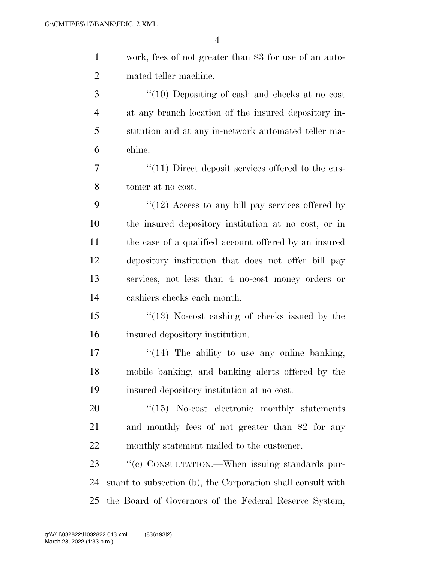| $\mathbf{1}$   | work, fees of not greater than \$3 for use of an auto-      |
|----------------|-------------------------------------------------------------|
| $\overline{2}$ | mated teller machine.                                       |
| 3              | $\degree$ (10) Depositing of cash and checks at no cost     |
| $\overline{4}$ | at any branch location of the insured depository in-        |
| 5              | stitution and at any in-network automated teller ma-        |
| 6              | chine.                                                      |
| 7              | $\lq(11)$ Direct deposit services offered to the cus-       |
| 8              | tomer at no cost.                                           |
| 9              | $\lq(12)$ Access to any bill pay services offered by        |
| 10             | the insured depository institution at no cost, or in        |
| 11             | the case of a qualified account offered by an insured       |
| 12             | depository institution that does not offer bill pay         |
| 13             | services, not less than 4 no-cost money orders or           |
| 14             | cashiers checks each month.                                 |
| 15             | $\cdot$ (13) No-cost cashing of checks issued by the        |
| 16             | insured depository institution.                             |
| 17             | " $(14)$ The ability to use any online banking,             |
| 18             | mobile banking, and banking alerts offered by the           |
| 19             | insured depository institution at no cost.                  |
| 20             | $\cdot$ (15) No-cost electronic monthly statements          |
| 21             | and monthly fees of not greater than \$2 for any            |
| 22             | monthly statement mailed to the customer.                   |
| 23             | "(c) CONSULTATION.—When issuing standards pur-              |
| 24             | suant to subsection (b), the Corporation shall consult with |
| 25             | the Board of Governors of the Federal Reserve System,       |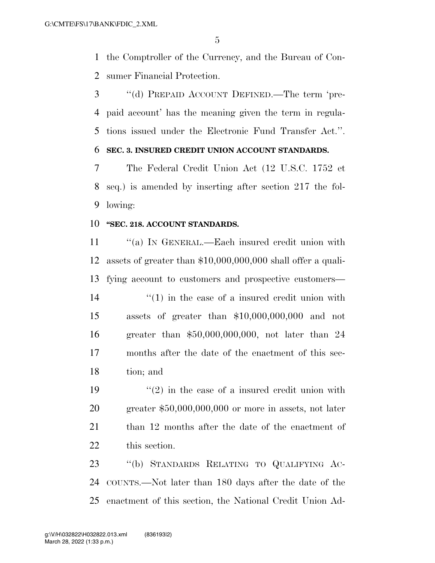the Comptroller of the Currency, and the Bureau of Con-sumer Financial Protection.

 ''(d) PREPAID ACCOUNT DEFINED.—The term 'pre- paid account' has the meaning given the term in regula-tions issued under the Electronic Fund Transfer Act.''.

### **SEC. 3. INSURED CREDIT UNION ACCOUNT STANDARDS.**

 The Federal Credit Union Act (12 U.S.C. 1752 et seq.) is amended by inserting after section 217 the fol-lowing:

#### **''SEC. 218. ACCOUNT STANDARDS.**

11 ""(a) In GENERAL.—Each insured credit union with assets of greater than \$10,000,000,000 shall offer a quali- fying account to customers and prospective customers— 14 ''(1) in the case of a insured credit union with assets of greater than \$10,000,000,000 and not greater than \$50,000,000,000, not later than 24 months after the date of the enactment of this sec-tion; and

 $(2)$  in the case of a insured credit union with greater \$50,000,000,000 or more in assets, not later 21 than 12 months after the date of the enactment of this section.

 ''(b) STANDARDS RELATING TO QUALIFYING AC- COUNTS.—Not later than 180 days after the date of the enactment of this section, the National Credit Union Ad-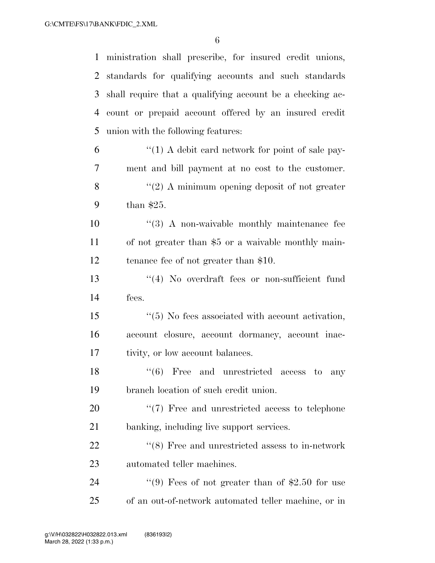ministration shall prescribe, for insured credit unions, standards for qualifying accounts and such standards shall require that a qualifying account be a checking ac- count or prepaid account offered by an insured credit union with the following features:  $(1)$  A debit card network for point of sale pay-ment and bill payment at no cost to the customer.

 ''(2) A minimum opening deposit of not greater than \$25.

10  $\frac{1}{2}$  (3) A non-waivable monthly maintenance fee of not greater than \$5 or a waivable monthly main-tenance fee of not greater than \$10.

 ''(4) No overdraft fees or non-sufficient fund fees.

 ''(5) No fees associated with account activation, account closure, account dormancy, account inac-tivity, or low account balances.

18 ''(6) Free and unrestricted access to any branch location of such credit union.

20  $\frac{1}{2}$  Tree and unrestricted access to telephone banking, including live support services.

22 ''(8) Free and unrestricted assess to in-network automated teller machines.

24 ''(9) Fees of not greater than of \$2.50 for use of an out-of-network automated teller machine, or in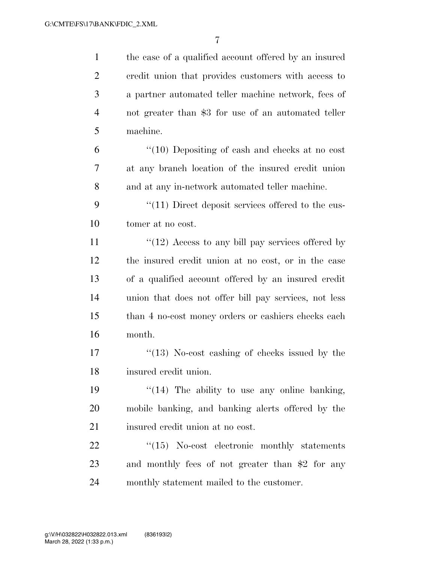the case of a qualified account offered by an insured credit union that provides customers with access to a partner automated teller machine network, fees of not greater than \$3 for use of an automated teller machine. ''(10) Depositing of cash and checks at no cost at any branch location of the insured credit union

and at any in-network automated teller machine.

9 ''(11) Direct deposit services offered to the cus-tomer at no cost.

 $\frac{1}{2}$  Access to any bill pay services offered by the insured credit union at no cost, or in the case of a qualified account offered by an insured credit union that does not offer bill pay services, not less than 4 no-cost money orders or cashiers checks each month.

17 ''(13) No-cost cashing of checks issued by the insured credit union.

19  $\frac{1}{2}$   $\frac{1}{2}$  The ability to use any online banking, mobile banking, and banking alerts offered by the 21 insured credit union at no cost.

22 "(15) No-cost electronic monthly statements and monthly fees of not greater than \$2 for any monthly statement mailed to the customer.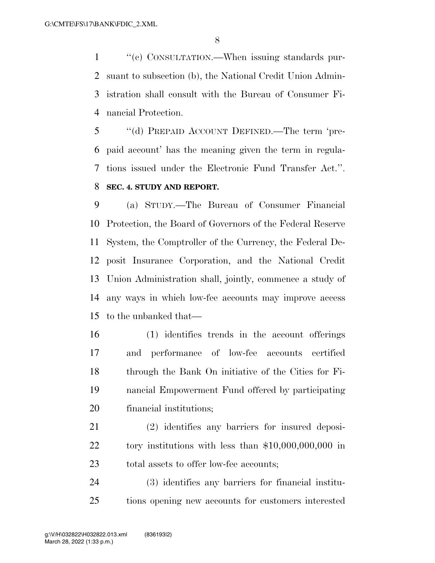$\cdot$  (c) CONSULTATION.—When issuing standards pur- suant to subsection (b), the National Credit Union Admin- istration shall consult with the Bureau of Consumer Fi-nancial Protection.

 ''(d) PREPAID ACCOUNT DEFINED.—The term 'pre- paid account' has the meaning given the term in regula- tions issued under the Electronic Fund Transfer Act.''. **SEC. 4. STUDY AND REPORT.** 

 (a) STUDY.—The Bureau of Consumer Financial Protection, the Board of Governors of the Federal Reserve System, the Comptroller of the Currency, the Federal De- posit Insurance Corporation, and the National Credit Union Administration shall, jointly, commence a study of any ways in which low-fee accounts may improve access to the unbanked that—

 (1) identifies trends in the account offerings and performance of low-fee accounts certified through the Bank On initiative of the Cities for Fi- nancial Empowerment Fund offered by participating financial institutions;

 (2) identifies any barriers for insured deposi- tory institutions with less than \$10,000,000,000 in total assets to offer low-fee accounts;

 (3) identifies any barriers for financial institu-tions opening new accounts for customers interested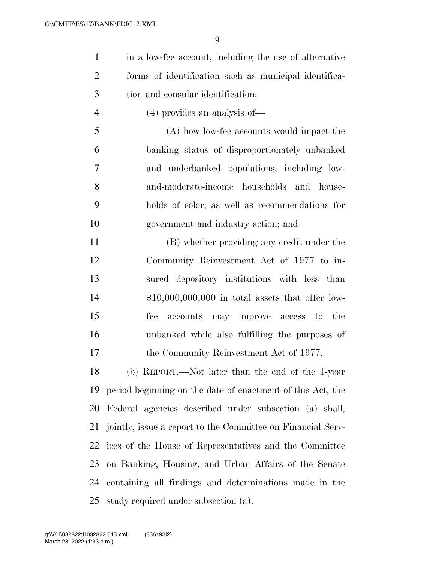in a low-fee account, including the use of alternative forms of identification such as municipal identifica-tion and consular identification;

(4) provides an analysis of—

 (A) how low-fee accounts would impact the banking status of disproportionately unbanked and underbanked populations, including low- and-moderate-income households and house- holds of color, as well as recommendations for government and industry action; and

 (B) whether providing any credit under the Community Reinvestment Act of 1977 to in- sured depository institutions with less than \$10,000,000,000 in total assets that offer low- fee accounts may improve access to the unbanked while also fulfilling the purposes of 17 the Community Reinvestment Act of 1977.

 (b) REPORT.—Not later than the end of the 1-year period beginning on the date of enactment of this Act, the Federal agencies described under subsection (a) shall, jointly, issue a report to the Committee on Financial Serv- ices of the House of Representatives and the Committee on Banking, Housing, and Urban Affairs of the Senate containing all findings and determinations made in the study required under subsection (a).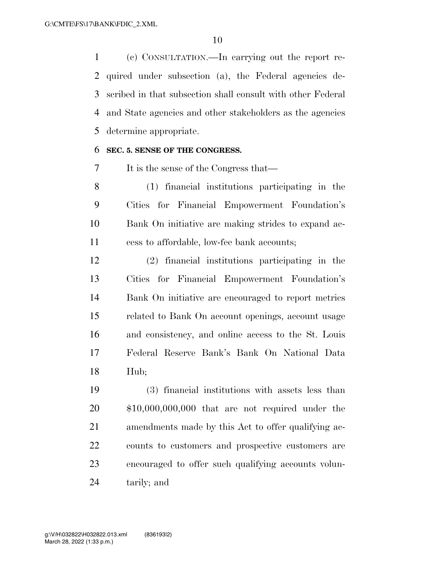(c) CONSULTATION.—In carrying out the report re- quired under subsection (a), the Federal agencies de- scribed in that subsection shall consult with other Federal and State agencies and other stakeholders as the agencies determine appropriate.

#### **SEC. 5. SENSE OF THE CONGRESS.**

It is the sense of the Congress that—

 (1) financial institutions participating in the Cities for Financial Empowerment Foundation's Bank On initiative are making strides to expand ac-cess to affordable, low-fee bank accounts;

 (2) financial institutions participating in the Cities for Financial Empowerment Foundation's Bank On initiative are encouraged to report metrics related to Bank On account openings, account usage and consistency, and online access to the St. Louis Federal Reserve Bank's Bank On National Data Hub;

 (3) financial institutions with assets less than \$10,000,000,000 that are not required under the amendments made by this Act to offer qualifying ac- counts to customers and prospective customers are encouraged to offer such qualifying accounts volun-tarily; and